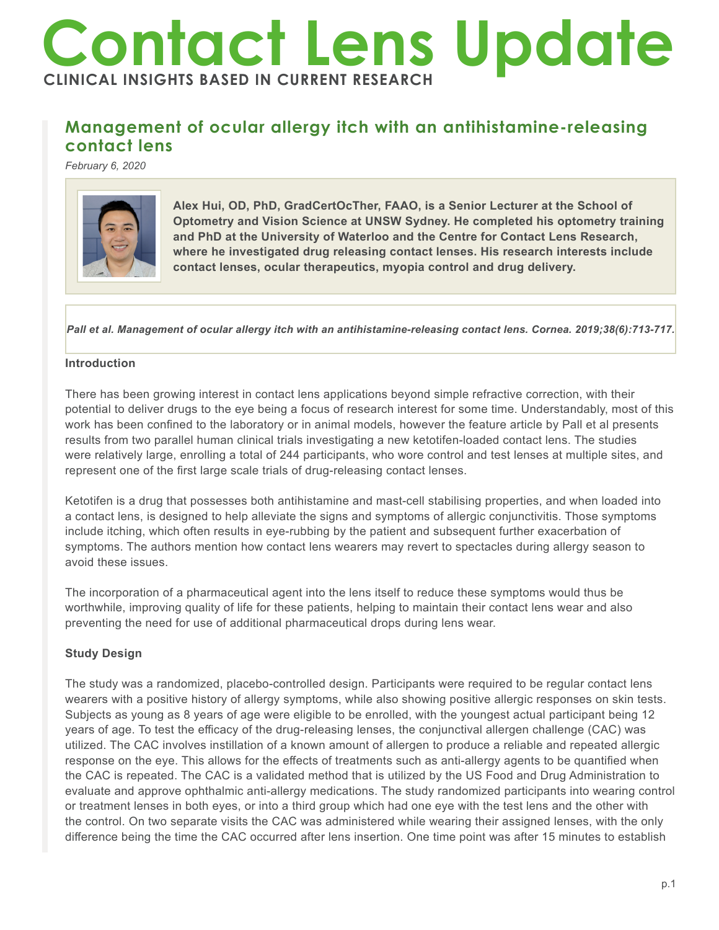# **Contact Lens Update CLINICAL INSIGHTS BASED IN CURRENT RESEARCH**

# **Management of ocular allergy itch with an antihistamine-releasing contact lens**

*February 6, 2020*



**Alex Hui, OD, PhD, GradCertOcTher, FAAO, is a Senior Lecturer at the School of Optometry and Vision Science at UNSW Sydney. He completed his optometry training and PhD at the University of Waterloo and the Centre for Contact Lens Research, where he investigated drug releasing contact lenses. His research interests include contact lenses, ocular therapeutics, myopia control and drug delivery.**

*Pall et al. Management of ocular allergy itch with an antihistamine-releasing contact lens. Cornea. 2019;38(6):713-717.*

#### **Introduction**

There has been growing interest in contact lens applications beyond simple refractive correction, with their potential to deliver drugs to the eye being a focus of research interest for some time. Understandably, most of this work has been confined to the laboratory or in animal models, however the feature article by Pall et al presents results from two parallel human clinical trials investigating a new ketotifen-loaded contact lens. The studies were relatively large, enrolling a total of 244 participants, who wore control and test lenses at multiple sites, and represent one of the first large scale trials of drug-releasing contact lenses.

Ketotifen is a drug that possesses both antihistamine and mast-cell stabilising properties, and when loaded into a contact lens, is designed to help alleviate the signs and symptoms of allergic conjunctivitis. Those symptoms include itching, which often results in eye-rubbing by the patient and subsequent further exacerbation of symptoms. The authors mention how contact lens wearers may revert to spectacles during allergy season to avoid these issues.

The incorporation of a pharmaceutical agent into the lens itself to reduce these symptoms would thus be worthwhile, improving quality of life for these patients, helping to maintain their contact lens wear and also preventing the need for use of additional pharmaceutical drops during lens wear.

## **Study Design**

The study was a randomized, placebo-controlled design. Participants were required to be regular contact lens wearers with a positive history of allergy symptoms, while also showing positive allergic responses on skin tests. Subjects as young as 8 years of age were eligible to be enrolled, with the youngest actual participant being 12 years of age. To test the efficacy of the drug-releasing lenses, the conjunctival allergen challenge (CAC) was utilized. The CAC involves instillation of a known amount of allergen to produce a reliable and repeated allergic response on the eye. This allows for the effects of treatments such as anti-allergy agents to be quantified when the CAC is repeated. The CAC is a validated method that is utilized by the US Food and Drug Administration to evaluate and approve ophthalmic anti-allergy medications. The study randomized participants into wearing control or treatment lenses in both eyes, or into a third group which had one eye with the test lens and the other with the control. On two separate visits the CAC was administered while wearing their assigned lenses, with the only difference being the time the CAC occurred after lens insertion. One time point was after 15 minutes to establish